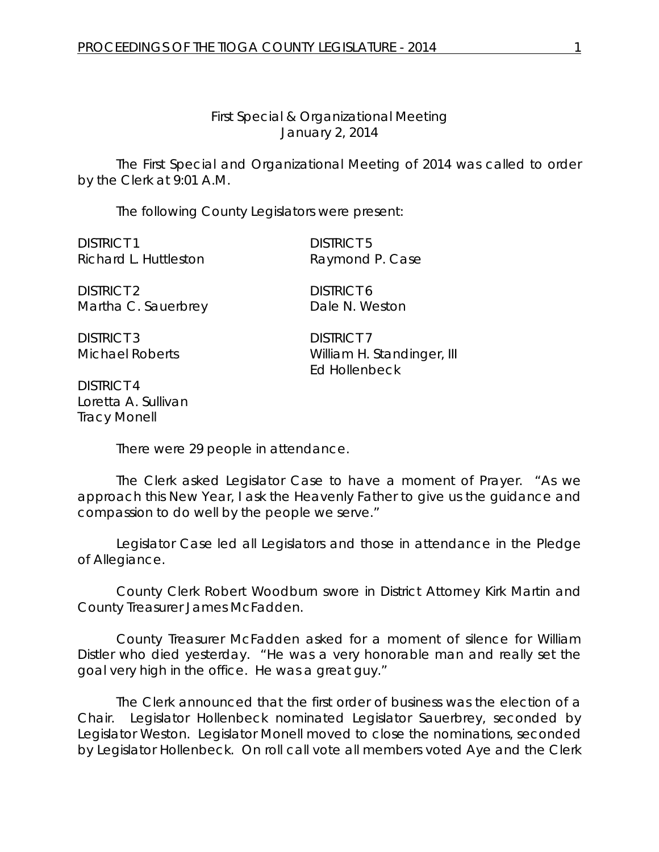## *First Special & Organizational Meeting* January 2, 2014

The First Special and Organizational Meeting of 2014 was called to order by the Clerk at 9:01 A.M.

The following County Legislators were present:

DISTRICT 1 DISTRICT 5 Richard L. Huttleston Raymond P. Case

DISTRICT 2 DISTRICT 6 Martha C. Sauerbrey Dale N. Weston

DISTRICT 3 DISTRICT 7

DISTRICT 4 Loretta A. Sullivan Tracy Monell

Michael Roberts William H. Standinger, III Ed Hollenbeck

There were 29 people in attendance.

The Clerk asked Legislator Case to have a moment of Prayer. "As we approach this New Year, I ask the Heavenly Father to give us the guidance and compassion to do well by the people we serve."

Legislator Case led all Legislators and those in attendance in the Pledge of Allegiance.

County Clerk Robert Woodburn swore in District Attorney Kirk Martin and County Treasurer James McFadden.

County Treasurer McFadden asked for a moment of silence for William Distler who died yesterday. "He was a very honorable man and really set the goal very high in the office. He was a great guy."

The Clerk announced that the first order of business was the election of a Chair. Legislator Hollenbeck nominated Legislator Sauerbrey, seconded by Legislator Weston. Legislator Monell moved to close the nominations, seconded by Legislator Hollenbeck. On roll call vote all members voted Aye and the Clerk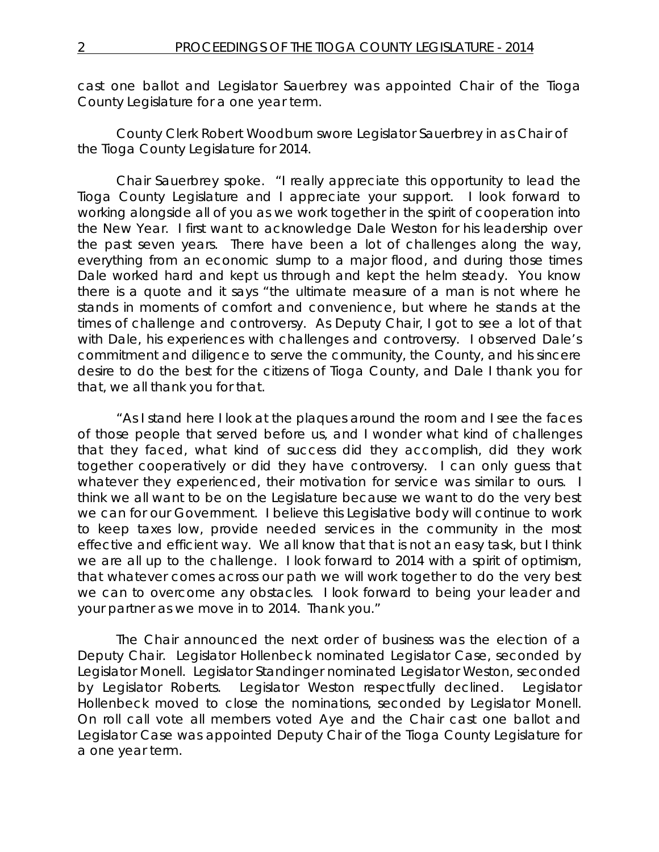cast one ballot and Legislator Sauerbrey was appointed Chair of the Tioga County Legislature for a one year term.

County Clerk Robert Woodburn swore Legislator Sauerbrey in as Chair of the Tioga County Legislature for 2014.

Chair Sauerbrey spoke. "I really appreciate this opportunity to lead the Tioga County Legislature and I appreciate your support. I look forward to working alongside all of you as we work together in the spirit of cooperation into the New Year. I first want to acknowledge Dale Weston for his leadership over the past seven years. There have been a lot of challenges along the way, everything from an economic slump to a major flood, and during those times Dale worked hard and kept us through and kept the helm steady. You know there is a quote and it says "the ultimate measure of a man is not where he stands in moments of comfort and convenience, but where he stands at the times of challenge and controversy. As Deputy Chair, I got to see a lot of that with Dale, his experiences with challenges and controversy. I observed Dale's commitment and diligence to serve the community, the County, and his sincere desire to do the best for the citizens of Tioga County, and Dale I thank you for that, we all thank you for that.

"As I stand here I look at the plaques around the room and I see the faces of those people that served before us, and I wonder what kind of challenges that they faced, what kind of success did they accomplish, did they work together cooperatively or did they have controversy. I can only guess that whatever they experienced, their motivation for service was similar to ours. I think we all want to be on the Legislature because we want to do the very best we can for our Government. I believe this Legislative body will continue to work to keep taxes low, provide needed services in the community in the most effective and efficient way. We all know that that is not an easy task, but I think we are all up to the challenge. I look forward to 2014 with a spirit of optimism, that whatever comes across our path we will work together to do the very best we can to overcome any obstacles. I look forward to being your leader and your partner as we move in to 2014. Thank you."

The Chair announced the next order of business was the election of a Deputy Chair. Legislator Hollenbeck nominated Legislator Case, seconded by Legislator Monell. Legislator Standinger nominated Legislator Weston, seconded by Legislator Roberts. Legislator Weston respectfully declined. Legislator Hollenbeck moved to close the nominations, seconded by Legislator Monell. On roll call vote all members voted Aye and the Chair cast one ballot and Legislator Case was appointed Deputy Chair of the Tioga County Legislature for a one year term.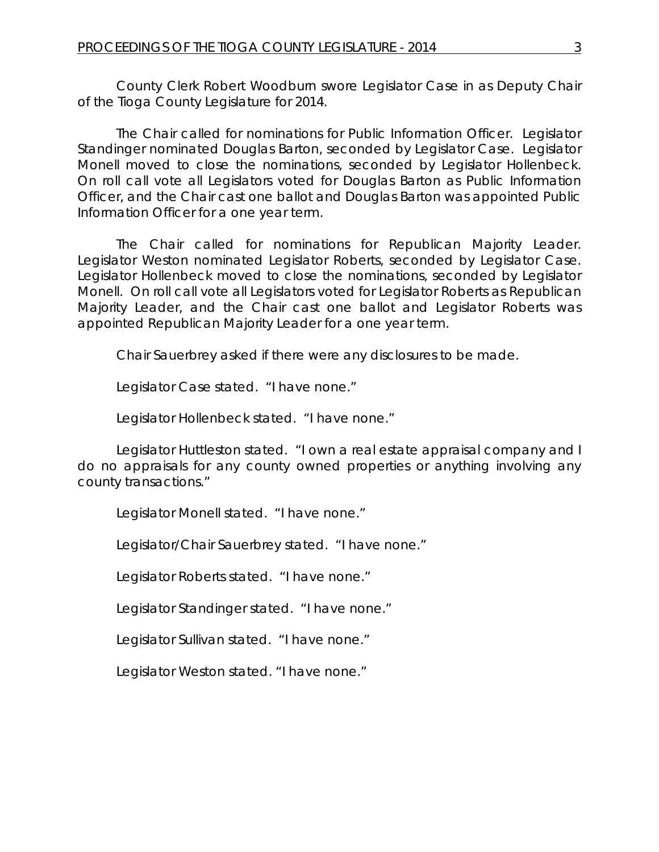County Clerk Robert Woodburn swore Legislator Case in as Deputy Chair of the Tioga County Legislature for 2014.

The Chair called for nominations for Public Information Officer. Legislator Standinger nominated Douglas Barton, seconded by Legislator Case. Legislator Monell moved to close the nominations, seconded by Legislator Hollenbeck. On roll call vote all Legislators voted for Douglas Barton as Public Information Officer, and the Chair cast one ballot and Douglas Barton was appointed Public Information Officer for a one year term.

The Chair called for nominations for Republican Majority Leader. Legislator Weston nominated Legislator Roberts, seconded by Legislator Case. Legislator Hollenbeck moved to close the nominations, seconded by Legislator Monell. On roll call vote all Legislators voted for Legislator Roberts as Republican Majority Leader, and the Chair cast one ballot and Legislator Roberts was appointed Republican Majority Leader for a one year term.

Chair Sauerbrey asked if there were any disclosures to be made.

Legislator Case stated. "I have none."

Legislator Hollenbeck stated. "I have none."

Legislator Huttleston stated. "I own a real estate appraisal company and I do no appraisals for any county owned properties or anything involving any county transactions."

Legislator Monell stated. "I have none."

Legislator/Chair Sauerbrey stated. "I have none."

Legislator Roberts stated. "I have none."

Legislator Standinger stated. "I have none."

Legislator Sullivan stated. "I have none."

Legislator Weston stated. "I have none."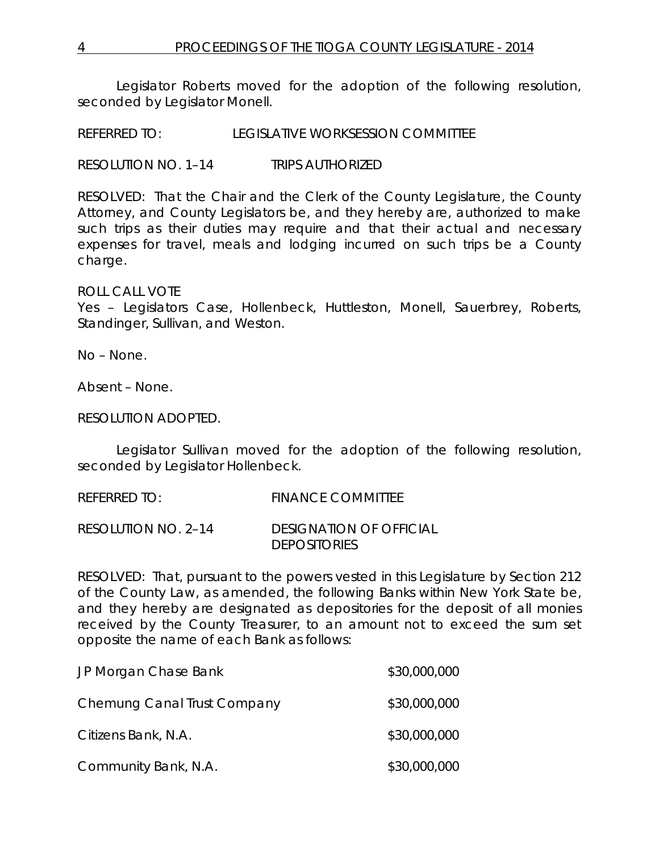Legislator Roberts moved for the adoption of the following resolution, seconded by Legislator Monell.

REFERRED TO: LEGISLATIVE WORKSESSION COMMITTEE

RESOLUTION NO. 1–14 *TRIPS AUTHORIZED*

RESOLVED: That the Chair and the Clerk of the County Legislature, the County Attorney, and County Legislators be, and they hereby are, authorized to make such trips as their duties may require and that their actual and necessary expenses for travel, meals and lodging incurred on such trips be a County charge.

ROLL CALL VOTE

Yes – Legislators Case, Hollenbeck, Huttleston, Monell, Sauerbrey, Roberts, Standinger, Sullivan, and Weston.

No – None.

Absent – None.

RESOLUTION ADOPTED.

Legislator Sullivan moved for the adoption of the following resolution, seconded by Legislator Hollenbeck.

REFERRED TO: FINANCE COMMITTEE

RESOLUTION NO. 2–14 *DESIGNATION OF OFFICIAL DEPOSITORIES*

RESOLVED: That, pursuant to the powers vested in this Legislature by Section 212 of the County Law, as amended, the following Banks within New York State be, and they hereby are designated as depositories for the deposit of all monies received by the County Treasurer, to an amount not to exceed the sum set opposite the name of each Bank as follows:

| JP Morgan Chase Bank        | \$30,000,000 |
|-----------------------------|--------------|
| Chemung Canal Trust Company | \$30,000,000 |
| Citizens Bank, N.A.         | \$30,000,000 |
| Community Bank, N.A.        | \$30,000,000 |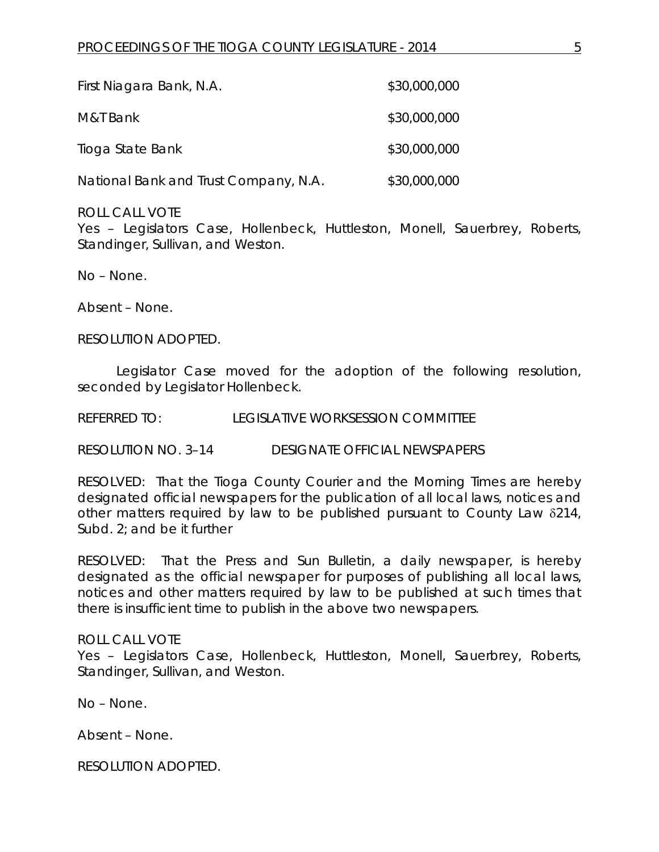| First Niagara Bank, N.A.              | \$30,000,000 |
|---------------------------------------|--------------|
| M&T Bank                              | \$30,000,000 |
| Tioga State Bank                      | \$30,000,000 |
| National Bank and Trust Company, N.A. | \$30,000,000 |

ROLL CALL VOTE

Yes – Legislators Case, Hollenbeck, Huttleston, Monell, Sauerbrey, Roberts, Standinger, Sullivan, and Weston.

No – None.

Absent – None.

RESOLUTION ADOPTED.

Legislator Case moved for the adoption of the following resolution, seconded by Legislator Hollenbeck.

REFERRED TO: LEGISLATIVE WORKSESSION COMMITTEE

RESOLUTION NO. 3–14 *DESIGNATE OFFICIAL NEWSPAPERS*

RESOLVED: That the Tioga County Courier and the Morning Times are hereby designated official newspapers for the publication of all local laws, notices and other matters required by law to be published pursuant to County Law δ214, Subd. 2; and be it further

RESOLVED: That the Press and Sun Bulletin, a daily newspaper, is hereby designated as the official newspaper for purposes of publishing all local laws, notices and other matters required by law to be published at such times that there is insufficient time to publish in the above two newspapers.

## ROLL CALL VOTE

Yes - Legislators Case, Hollenbeck, Huttleston, Monell, Sauerbrey, Roberts, Standinger, Sullivan, and Weston.

No – None.

Absent – None.

RESOLUTION ADOPTED.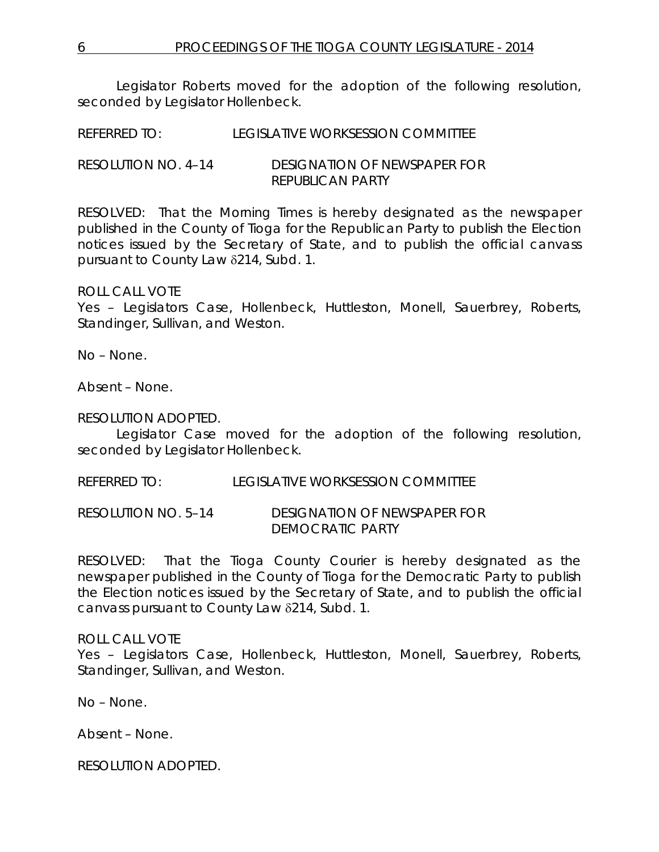Legislator Roberts moved for the adoption of the following resolution, seconded by Legislator Hollenbeck.

REFERRED TO: LEGISLATIVE WORKSESSION COMMITTEE

RESOLUTION NO. 4–14 *DESIGNATION OF NEWSPAPER FOR REPUBLICAN PARTY*

RESOLVED: That the Morning Times is hereby designated as the newspaper published in the County of Tioga for the Republican Party to publish the Election notices issued by the Secretary of State, and to publish the official canvass pursuant to County Law δ214, Subd. 1.

ROLL CALL VOTE

Yes – Legislators Case, Hollenbeck, Huttleston, Monell, Sauerbrey, Roberts, Standinger, Sullivan, and Weston.

No – None.

Absent – None.

RESOLUTION ADOPTED.

Legislator Case moved for the adoption of the following resolution, seconded by Legislator Hollenbeck.

REFERRED TO: LEGISLATIVE WORKSESSION COMMITTEE

RESOLUTION NO. 5–14 *DESIGNATION OF NEWSPAPER FOR DEMOCRATIC PARTY*

RESOLVED: That the Tioga County Courier is hereby designated as the newspaper published in the County of Tioga for the Democratic Party to publish the Election notices issued by the Secretary of State, and to publish the official canvass pursuant to County Law δ214, Subd. 1.

## ROLL CALL VOTE

Yes - Legislators Case, Hollenbeck, Huttleston, Monell, Sauerbrey, Roberts, Standinger, Sullivan, and Weston.

No – None.

Absent – None.

RESOLUTION ADOPTED.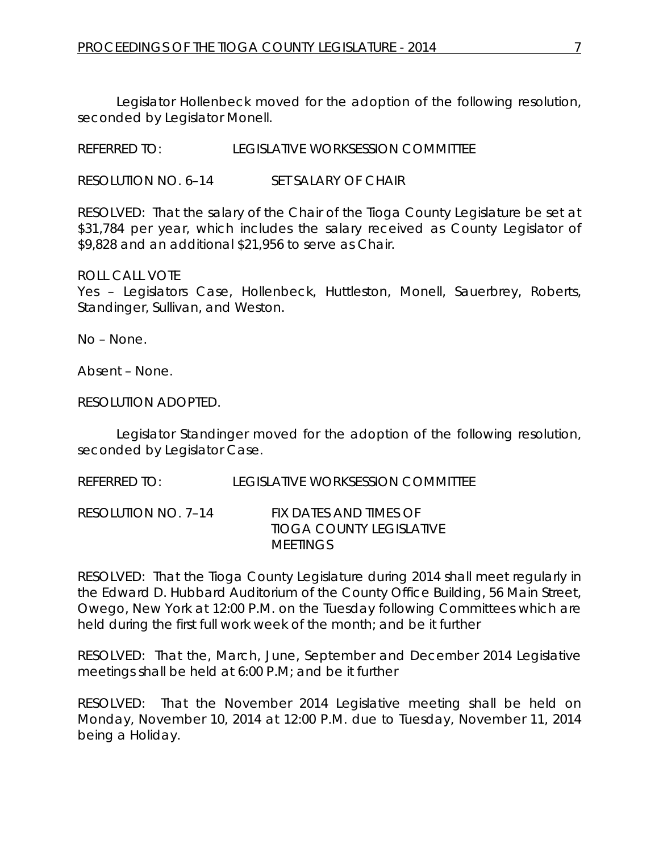Legislator Hollenbeck moved for the adoption of the following resolution, seconded by Legislator Monell.

REFERRED TO: LEGISLATIVE WORKSESSION COMMITTEE

RESOLUTION NO. 6–14 *SET SALARY OF CHAIR*

RESOLVED: That the salary of the Chair of the Tioga County Legislature be set at \$31,784 per year, which includes the salary received as County Legislator of \$9,828 and an additional \$21,956 to serve as Chair.

ROLL CALL VOTE Yes - Legislators Case, Hollenbeck, Huttleston, Monell, Sauerbrey, Roberts, Standinger, Sullivan, and Weston.

No – None.

Absent – None.

RESOLUTION ADOPTED.

Legislator Standinger moved for the adoption of the following resolution, seconded by Legislator Case.

REFERRED TO: LEGISLATIVE WORKSESSION COMMITTEE

RESOLUTION NO. 7–14 *FIX DATES AND TIMES OF TIOGA COUNTY LEGISLATIVE MEETINGS*

RESOLVED: That the Tioga County Legislature during 2014 shall meet regularly in the Edward D. Hubbard Auditorium of the County Office Building, 56 Main Street, Owego, New York at 12:00 P.M. on the Tuesday following Committees which are held during the first full work week of the month; and be it further

RESOLVED: That the, March, June, September and December 2014 Legislative meetings shall be held at 6:00 P.M; and be it further

RESOLVED: That the November 2014 Legislative meeting shall be held on Monday, November 10, 2014 at 12:00 P.M. due to Tuesday, November 11, 2014 being a Holiday.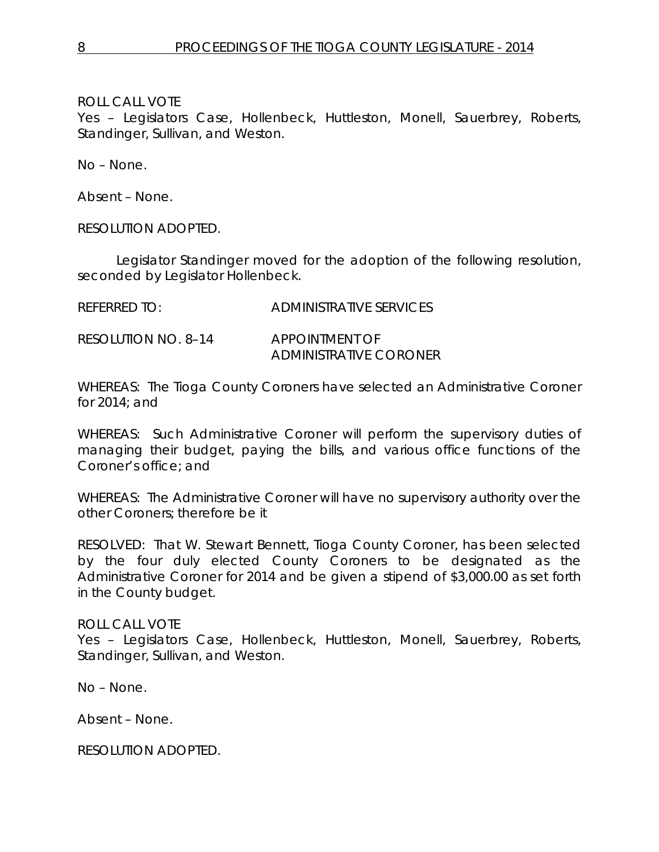ROLL CALL VOTE

Yes – Legislators Case, Hollenbeck, Huttleston, Monell, Sauerbrey, Roberts, Standinger, Sullivan, and Weston.

No – None.

Absent – None.

RESOLUTION ADOPTED.

Legislator Standinger moved for the adoption of the following resolution, seconded by Legislator Hollenbeck.

REFERRED TO: ADMINISTRATIVE SERVICES

RESOLUTION NO. 8–14 *APPOINTMENT OF ADMINISTRATIVE CORONER*

WHEREAS: The Tioga County Coroners have selected an Administrative Coroner for 2014; and

WHEREAS: Such Administrative Coroner will perform the supervisory duties of managing their budget, paying the bills, and various office functions of the Coroner's office; and

WHEREAS: The Administrative Coroner will have no supervisory authority over the other Coroners; therefore be it

RESOLVED: That W. Stewart Bennett, Tioga County Coroner, has been selected by the four duly elected County Coroners to be designated as the Administrative Coroner for 2014 and be given a stipend of \$3,000.00 as set forth in the County budget.

ROLL CALL VOTE

Yes – Legislators Case, Hollenbeck, Huttleston, Monell, Sauerbrey, Roberts, Standinger, Sullivan, and Weston.

No – None.

Absent – None.

RESOLUTION ADOPTED.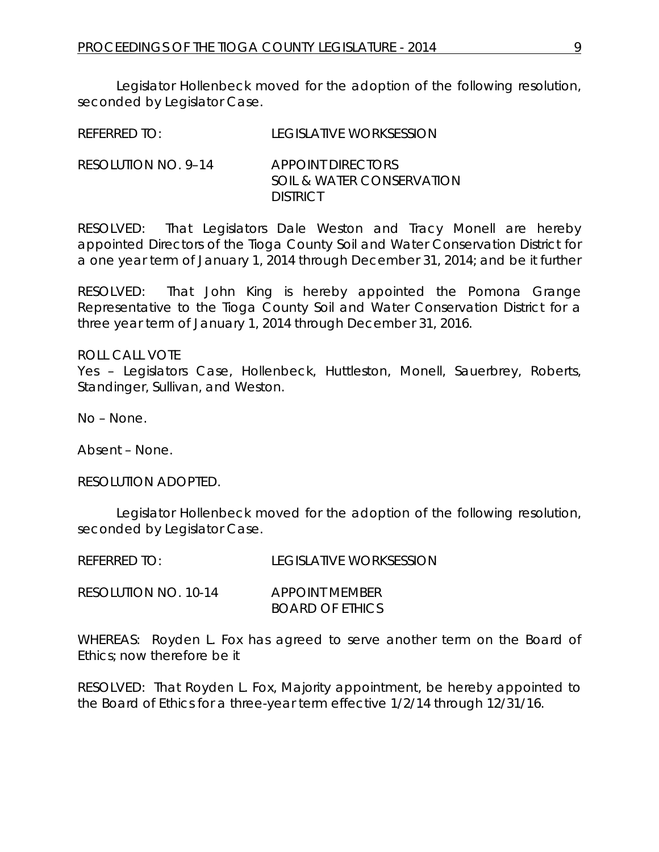Legislator Hollenbeck moved for the adoption of the following resolution, seconded by Legislator Case.

| <b>REFERRED TO:</b> | <b>LEGISLATIVE WORKSESSION</b> |
|---------------------|--------------------------------|
|                     |                                |

RESOLUTION NO. 9–14 *APPOINT DIRECTORS SOIL & WATER CONSERVATION DISTRICT*

RESOLVED: That Legislators Dale Weston and Tracy Monell are hereby appointed Directors of the Tioga County Soil and Water Conservation District for a one year term of January 1, 2014 through December 31, 2014; and be it further

RESOLVED: That John King is hereby appointed the Pomona Grange Representative to the Tioga County Soil and Water Conservation District for a three year term of January 1, 2014 through December 31, 2016.

ROLL CALL VOTE Yes - Legislators Case, Hollenbeck, Huttleston, Monell, Sauerbrey, Roberts, Standinger, Sullivan, and Weston.

No – None.

Absent – None.

RESOLUTION ADOPTED.

Legislator Hollenbeck moved for the adoption of the following resolution, seconded by Legislator Case.

| REFERRED TO:         | <b>LEGISLATIVE WORKSESSION</b> |
|----------------------|--------------------------------|
| RESOLLITION NO 10.14 | APPOINT MEMBER                 |

RESOLUTION NO. 10-14 *APPOINT MEMBER BOARD OF ETHICS*

WHEREAS: Royden L. Fox has agreed to serve another term on the Board of Ethics; now therefore be it

RESOLVED: That Royden L. Fox, Majority appointment, be hereby appointed to the Board of Ethics for a three-year term effective 1/2/14 through 12/31/16.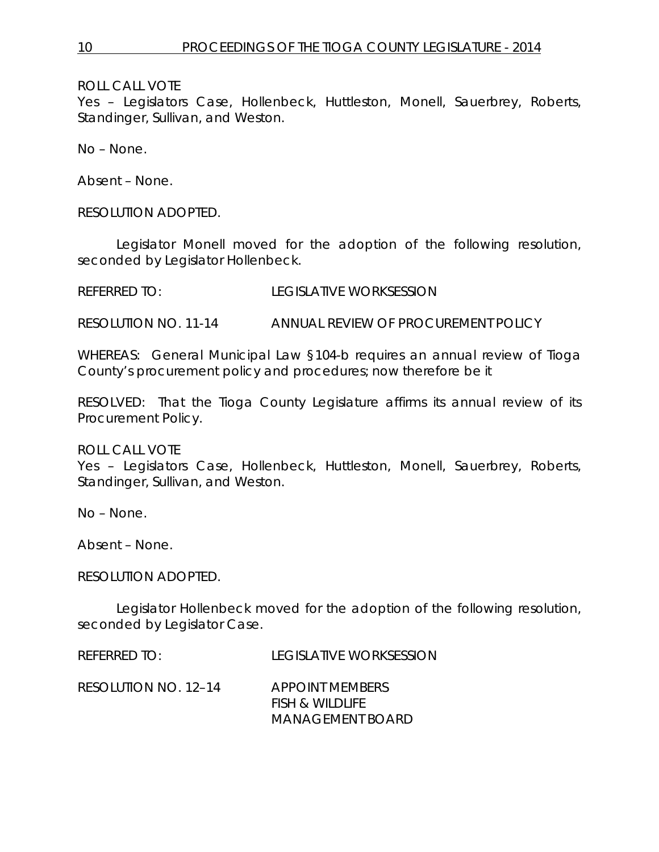ROLL CALL VOTE

Yes – Legislators Case, Hollenbeck, Huttleston, Monell, Sauerbrey, Roberts, Standinger, Sullivan, and Weston.

No – None.

Absent – None.

RESOLUTION ADOPTED.

Legislator Monell moved for the adoption of the following resolution, seconded by Legislator Hollenbeck.

REFERRED TO: LEGISLATIVE WORKSESSION

RESOLUTION NO. 11-14 *ANNUAL REVIEW OF PROCUREMENT POLICY*

WHEREAS: General Municipal Law §104-b requires an annual review of Tioga County's procurement policy and procedures; now therefore be it

RESOLVED: That the Tioga County Legislature affirms its annual review of its Procurement Policy.

ROLL CALL VOTE

Yes – Legislators Case, Hollenbeck, Huttleston, Monell, Sauerbrey, Roberts, Standinger, Sullivan, and Weston.

No – None.

Absent – None.

RESOLUTION ADOPTED.

Legislator Hollenbeck moved for the adoption of the following resolution, seconded by Legislator Case.

REFERRED TO: LEGISLATIVE WORKSESSION

RESOLUTION NO. 12–14 *APPOINT MEMBERS*

*FISH & WILDLIFE MANAGEMENT BOARD*